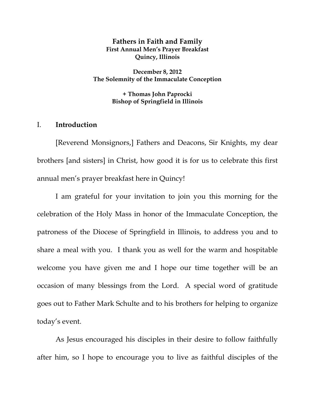## **Fathers in Faith and Family First Annual Men's Prayer Breakfast Quincy, Illinois**

**December 8, 2012 The Solemnity of the Immaculate Conception** 

> **+ Thomas John Paprocki Bishop of Springfield in Illinois**

## I. **Introduction**

[Reverend Monsignors,] Fathers and Deacons, Sir Knights, my dear brothers [and sisters] in Christ, how good it is for us to celebrate this first annual men's prayer breakfast here in Quincy!

 I am grateful for your invitation to join you this morning for the celebration of the Holy Mass in honor of the Immaculate Conception, the patroness of the Diocese of Springfield in Illinois, to address you and to share a meal with you. I thank you as well for the warm and hospitable welcome you have given me and I hope our time together will be an occasion of many blessings from the Lord. A special word of gratitude goes out to Father Mark Schulte and to his brothers for helping to organize today's event.

 As Jesus encouraged his disciples in their desire to follow faithfully after him, so I hope to encourage you to live as faithful disciples of the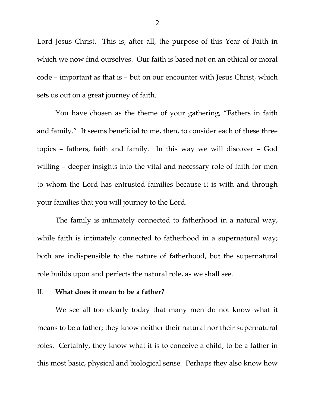Lord Jesus Christ. This is, after all, the purpose of this Year of Faith in which we now find ourselves. Our faith is based not on an ethical or moral code – important as that is – but on our encounter with Jesus Christ, which sets us out on a great journey of faith.

You have chosen as the theme of your gathering, "Fathers in faith and family." It seems beneficial to me, then, to consider each of these three topics – fathers, faith and family. In this way we will discover – God willing – deeper insights into the vital and necessary role of faith for men to whom the Lord has entrusted families because it is with and through your families that you will journey to the Lord.

 The family is intimately connected to fatherhood in a natural way, while faith is intimately connected to fatherhood in a supernatural way; both are indispensible to the nature of fatherhood, but the supernatural role builds upon and perfects the natural role, as we shall see.

#### II. **What does it mean to be a father?**

 We see all too clearly today that many men do not know what it means to be a father; they know neither their natural nor their supernatural roles. Certainly, they know what it is to conceive a child, to be a father in this most basic, physical and biological sense. Perhaps they also know how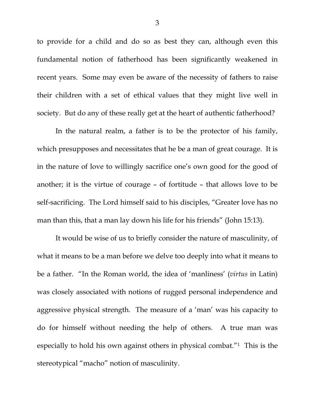to provide for a child and do so as best they can, although even this fundamental notion of fatherhood has been significantly weakened in recent years. Some may even be aware of the necessity of fathers to raise their children with a set of ethical values that they might live well in society. But do any of these really get at the heart of authentic fatherhood?

 In the natural realm, a father is to be the protector of his family, which presupposes and necessitates that he be a man of great courage. It is in the nature of love to willingly sacrifice one's own good for the good of another; it is the virtue of courage – of fortitude – that allows love to be self-sacrificing. The Lord himself said to his disciples, "Greater love has no man than this, that a man lay down his life for his friends" (John 15:13).

 It would be wise of us to briefly consider the nature of masculinity, of what it means to be a man before we delve too deeply into what it means to be a father. "In the Roman world, the idea of 'manliness' (*virtus* in Latin) was closely associated with notions of rugged personal independence and aggressive physical strength. The measure of a 'man' was his capacity to do for himself without needing the help of others. A true man was especially to hold his own against others in physical combat."1 This is the stereotypical "macho" notion of masculinity.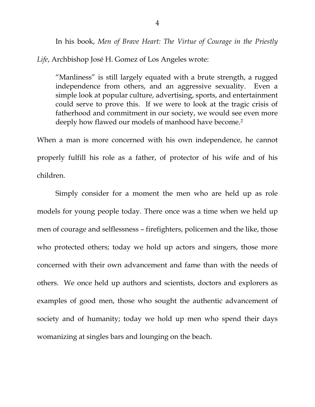In his book, *Men of Brave Heart: The Virtue of Courage in the Priestly Life*, Archbishop José H. Gomez of Los Angeles wrote:

"Manliness" is still largely equated with a brute strength, a rugged independence from others, and an aggressive sexuality. Even a simple look at popular culture, advertising, sports, and entertainment could serve to prove this. If we were to look at the tragic crisis of fatherhood and commitment in our society, we would see even more deeply how flawed our models of manhood have become.<sup>2</sup>

When a man is more concerned with his own independence, he cannot properly fulfill his role as a father, of protector of his wife and of his children.

Simply consider for a moment the men who are held up as role models for young people today. There once was a time when we held up men of courage and selflessness – firefighters, policemen and the like, those who protected others; today we hold up actors and singers, those more concerned with their own advancement and fame than with the needs of others. We once held up authors and scientists, doctors and explorers as examples of good men, those who sought the authentic advancement of society and of humanity; today we hold up men who spend their days womanizing at singles bars and lounging on the beach.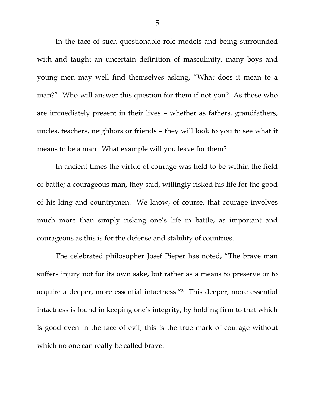In the face of such questionable role models and being surrounded with and taught an uncertain definition of masculinity, many boys and young men may well find themselves asking, "What does it mean to a man?" Who will answer this question for them if not you? As those who are immediately present in their lives – whether as fathers, grandfathers, uncles, teachers, neighbors or friends – they will look to you to see what it means to be a man. What example will you leave for them?

 In ancient times the virtue of courage was held to be within the field of battle; a courageous man, they said, willingly risked his life for the good of his king and countrymen. We know, of course, that courage involves much more than simply risking one's life in battle, as important and courageous as this is for the defense and stability of countries.

 The celebrated philosopher Josef Pieper has noted, "The brave man suffers injury not for its own sake, but rather as a means to preserve or to acquire a deeper, more essential intactness."3 This deeper, more essential intactness is found in keeping one's integrity, by holding firm to that which is good even in the face of evil; this is the true mark of courage without which no one can really be called brave.

5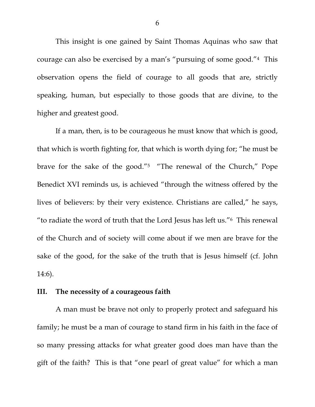This insight is one gained by Saint Thomas Aquinas who saw that courage can also be exercised by a man's "pursuing of some good."4 This observation opens the field of courage to all goods that are, strictly speaking, human, but especially to those goods that are divine, to the higher and greatest good.

 If a man, then, is to be courageous he must know that which is good, that which is worth fighting for, that which is worth dying for; "he must be brave for the sake of the good."5 "The renewal of the Church," Pope Benedict XVI reminds us, is achieved "through the witness offered by the lives of believers: by their very existence. Christians are called," he says, "to radiate the word of truth that the Lord Jesus has left us."6 This renewal of the Church and of society will come about if we men are brave for the sake of the good, for the sake of the truth that is Jesus himself (cf. John 14:6).

### **III. The necessity of a courageous faith**

 A man must be brave not only to properly protect and safeguard his family; he must be a man of courage to stand firm in his faith in the face of so many pressing attacks for what greater good does man have than the gift of the faith? This is that "one pearl of great value" for which a man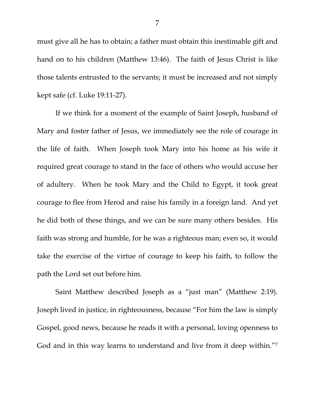must give all he has to obtain; a father must obtain this inestimable gift and hand on to his children (Matthew 13:46). The faith of Jesus Christ is like those talents entrusted to the servants; it must be increased and not simply kept safe (cf. Luke 19:11-27).

 If we think for a moment of the example of Saint Joseph, husband of Mary and foster father of Jesus, we immediately see the role of courage in the life of faith. When Joseph took Mary into his home as his wife it required great courage to stand in the face of others who would accuse her of adultery. When he took Mary and the Child to Egypt, it took great courage to flee from Herod and raise his family in a foreign land. And yet he did both of these things, and we can be sure many others besides. His faith was strong and humble, for he was a righteous man; even so, it would take the exercise of the virtue of courage to keep his faith, to follow the path the Lord set out before him.

 Saint Matthew described Joseph as a "just man" (Matthew 2:19). Joseph lived in justice, in righteousness, because "For him the law is simply Gospel, good news, because he reads it with a personal, loving openness to God and in this way learns to understand and live from it deep within."<sup>7</sup>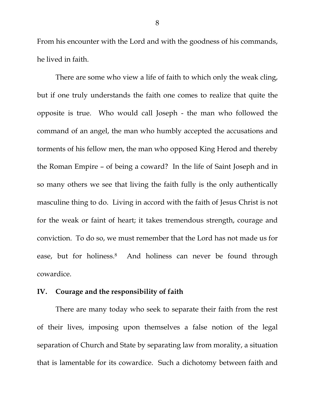From his encounter with the Lord and with the goodness of his commands, he lived in faith.

 There are some who view a life of faith to which only the weak cling, but if one truly understands the faith one comes to realize that quite the opposite is true. Who would call Joseph - the man who followed the command of an angel, the man who humbly accepted the accusations and torments of his fellow men, the man who opposed King Herod and thereby the Roman Empire – of being a coward? In the life of Saint Joseph and in so many others we see that living the faith fully is the only authentically masculine thing to do. Living in accord with the faith of Jesus Christ is not for the weak or faint of heart; it takes tremendous strength, courage and conviction. To do so, we must remember that the Lord has not made us for ease, but for holiness.<sup>8</sup> And holiness can never be found through cowardice.

### **IV. Courage and the responsibility of faith**

There are many today who seek to separate their faith from the rest of their lives, imposing upon themselves a false notion of the legal separation of Church and State by separating law from morality, a situation that is lamentable for its cowardice. Such a dichotomy between faith and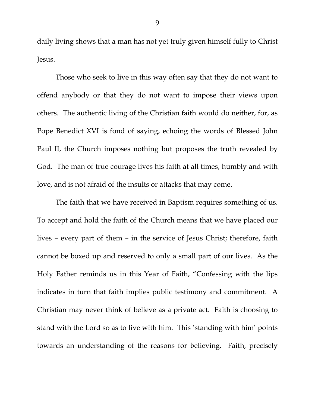daily living shows that a man has not yet truly given himself fully to Christ Jesus.

Those who seek to live in this way often say that they do not want to offend anybody or that they do not want to impose their views upon others. The authentic living of the Christian faith would do neither, for, as Pope Benedict XVI is fond of saying, echoing the words of Blessed John Paul II, the Church imposes nothing but proposes the truth revealed by God. The man of true courage lives his faith at all times, humbly and with love, and is not afraid of the insults or attacks that may come.

 The faith that we have received in Baptism requires something of us. To accept and hold the faith of the Church means that we have placed our lives – every part of them – in the service of Jesus Christ; therefore, faith cannot be boxed up and reserved to only a small part of our lives. As the Holy Father reminds us in this Year of Faith, "Confessing with the lips indicates in turn that faith implies public testimony and commitment. A Christian may never think of believe as a private act. Faith is choosing to stand with the Lord so as to live with him. This 'standing with him' points towards an understanding of the reasons for believing. Faith, precisely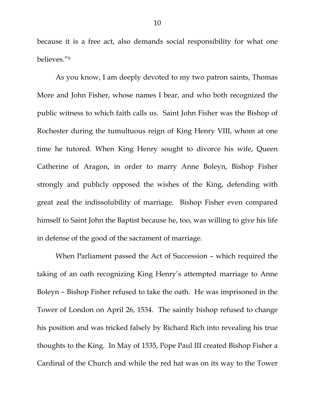because it is a free act, also demands social responsibility for what one believes."9

 As you know, I am deeply devoted to my two patron saints, Thomas More and John Fisher, whose names I bear, and who both recognized the public witness to which faith calls us. Saint John Fisher was the Bishop of Rochester during the tumultuous reign of King Henry VIII, whom at one time he tutored. When King Henry sought to divorce his wife, Queen Catherine of Aragon, in order to marry Anne Boleyn, Bishop Fisher strongly and publicly opposed the wishes of the King, defending with great zeal the indissolubility of marriage. Bishop Fisher even compared himself to Saint John the Baptist because he, too, was willing to give his life in defense of the good of the sacrament of marriage.

 When Parliament passed the Act of Succession – which required the taking of an oath recognizing King Henry's attempted marriage to Anne Boleyn – Bishop Fisher refused to take the oath. He was imprisoned in the Tower of London on April 26, 1534. The saintly bishop refused to change his position and was tricked falsely by Richard Rich into revealing his true thoughts to the King. In May of 1535, Pope Paul III created Bishop Fisher a Cardinal of the Church and while the red hat was on its way to the Tower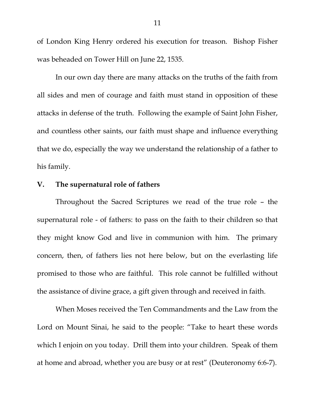of London King Henry ordered his execution for treason. Bishop Fisher was beheaded on Tower Hill on June 22, 1535.

In our own day there are many attacks on the truths of the faith from all sides and men of courage and faith must stand in opposition of these attacks in defense of the truth. Following the example of Saint John Fisher, and countless other saints, our faith must shape and influence everything that we do, especially the way we understand the relationship of a father to his family.

# **V. The supernatural role of fathers**

Throughout the Sacred Scriptures we read of the true role – the supernatural role - of fathers: to pass on the faith to their children so that they might know God and live in communion with him. The primary concern, then, of fathers lies not here below, but on the everlasting life promised to those who are faithful. This role cannot be fulfilled without the assistance of divine grace, a gift given through and received in faith.

 When Moses received the Ten Commandments and the Law from the Lord on Mount Sinai, he said to the people: "Take to heart these words which I enjoin on you today. Drill them into your children. Speak of them at home and abroad, whether you are busy or at rest" (Deuteronomy 6:6-7).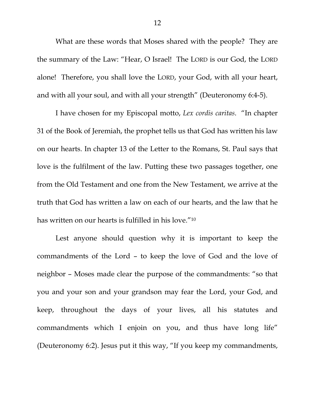What are these words that Moses shared with the people? They are the summary of the Law: "Hear, O Israel! The LORD is our God, the LORD alone! Therefore, you shall love the LORD, your God, with all your heart, and with all your soul, and with all your strength" (Deuteronomy 6:4-5).

I have chosen for my Episcopal motto, *Lex cordis caritas*. "In chapter 31 of the Book of Jeremiah, the prophet tells us that God has written his law on our hearts. In chapter 13 of the Letter to the Romans, St. Paul says that love is the fulfilment of the law. Putting these two passages together, one from the Old Testament and one from the New Testament, we arrive at the truth that God has written a law on each of our hearts, and the law that he has written on our hearts is fulfilled in his love."10

Lest anyone should question why it is important to keep the commandments of the Lord – to keep the love of God and the love of neighbor – Moses made clear the purpose of the commandments: "so that you and your son and your grandson may fear the Lord, your God, and keep, throughout the days of your lives, all his statutes and commandments which I enjoin on you, and thus have long life" (Deuteronomy 6:2). Jesus put it this way, "If you keep my commandments,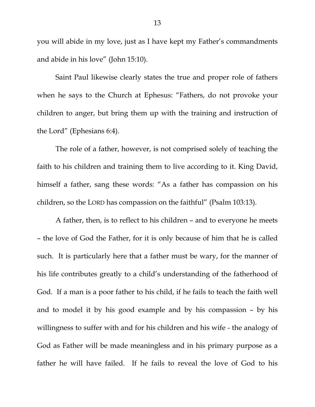you will abide in my love, just as I have kept my Father's commandments and abide in his love" (John 15:10).

Saint Paul likewise clearly states the true and proper role of fathers when he says to the Church at Ephesus: "Fathers, do not provoke your children to anger, but bring them up with the training and instruction of the Lord" (Ephesians 6:4).

The role of a father, however, is not comprised solely of teaching the faith to his children and training them to live according to it. King David, himself a father, sang these words: "As a father has compassion on his children, so the LORD has compassion on the faithful" (Psalm 103:13).

A father, then, is to reflect to his children – and to everyone he meets – the love of God the Father, for it is only because of him that he is called such. It is particularly here that a father must be wary, for the manner of his life contributes greatly to a child's understanding of the fatherhood of God. If a man is a poor father to his child, if he fails to teach the faith well and to model it by his good example and by his compassion – by his willingness to suffer with and for his children and his wife - the analogy of God as Father will be made meaningless and in his primary purpose as a father he will have failed. If he fails to reveal the love of God to his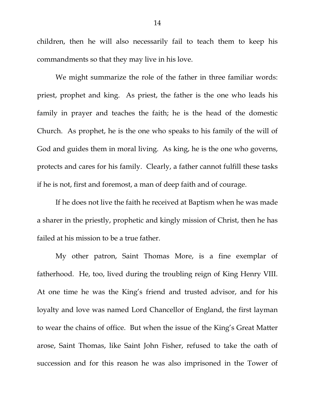children, then he will also necessarily fail to teach them to keep his commandments so that they may live in his love.

We might summarize the role of the father in three familiar words: priest, prophet and king. As priest, the father is the one who leads his family in prayer and teaches the faith; he is the head of the domestic Church. As prophet, he is the one who speaks to his family of the will of God and guides them in moral living. As king, he is the one who governs, protects and cares for his family. Clearly, a father cannot fulfill these tasks if he is not, first and foremost, a man of deep faith and of courage.

If he does not live the faith he received at Baptism when he was made a sharer in the priestly, prophetic and kingly mission of Christ, then he has failed at his mission to be a true father.

My other patron, Saint Thomas More, is a fine exemplar of fatherhood. He, too, lived during the troubling reign of King Henry VIII. At one time he was the King's friend and trusted advisor, and for his loyalty and love was named Lord Chancellor of England, the first layman to wear the chains of office. But when the issue of the King's Great Matter arose, Saint Thomas, like Saint John Fisher, refused to take the oath of succession and for this reason he was also imprisoned in the Tower of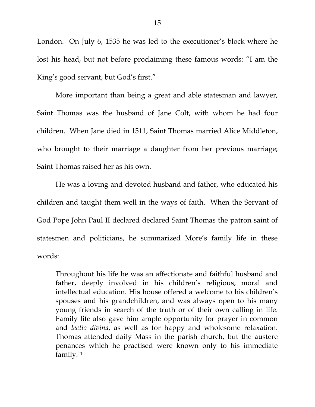London. On July 6, 1535 he was led to the executioner's block where he lost his head, but not before proclaiming these famous words: "I am the King's good servant, but God's first."

More important than being a great and able statesman and lawyer, Saint Thomas was the husband of Jane Colt, with whom he had four children. When Jane died in 1511, Saint Thomas married Alice Middleton, who brought to their marriage a daughter from her previous marriage; Saint Thomas raised her as his own.

He was a loving and devoted husband and father, who educated his children and taught them well in the ways of faith. When the Servant of God Pope John Paul II declared declared Saint Thomas the patron saint of statesmen and politicians, he summarized More's family life in these words:

Throughout his life he was an affectionate and faithful husband and father, deeply involved in his children's religious, moral and intellectual education. His house offered a welcome to his children's spouses and his grandchildren, and was always open to his many young friends in search of the truth or of their own calling in life. Family life also gave him ample opportunity for prayer in common and *lectio divina*, as well as for happy and wholesome relaxation. Thomas attended daily Mass in the parish church, but the austere penances which he practised were known only to his immediate family.11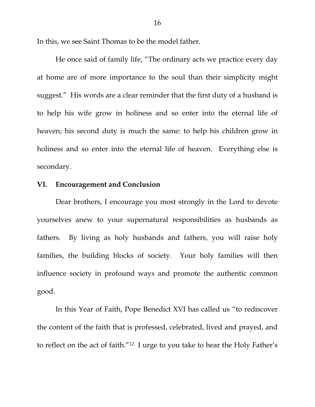In this, we see Saint Thomas to be the model father.

He once said of family life, "The ordinary acts we practice every day at home are of more importance to the soul than their simplicity might suggest." His words are a clear reminder that the first duty of a husband is to help his wife grow in holiness and so enter into the eternal life of heaven; his second duty is much the same: to help his children grow in holiness and so enter into the eternal life of heaven. Everything else is secondary.

# **VI. Encouragement and Conclusion**

 Dear brothers, I encourage you most strongly in the Lord to devote yourselves anew to your supernatural responsibilities as husbands as fathers. By living as holy husbands and fathers, you will raise holy families, the building blocks of society. Your holy families will then influence society in profound ways and promote the authentic common good.

 In this Year of Faith, Pope Benedict XVI has called us "to rediscover the content of the faith that is professed, celebrated, lived and prayed, and to reflect on the act of faith."12 I urge to you take to hear the Holy Father's